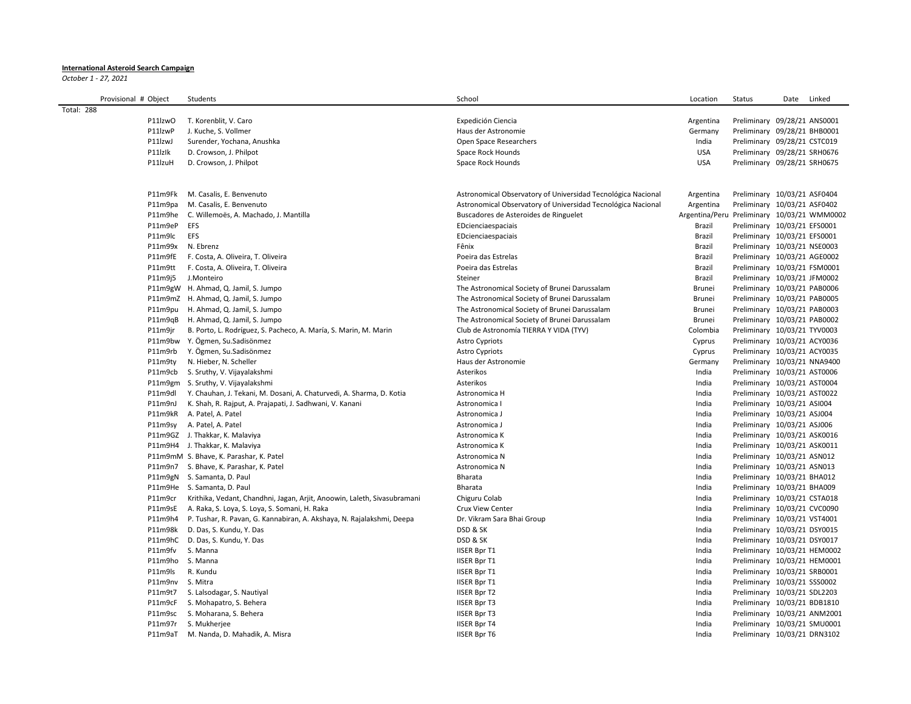## **International Asteroid Search Campaign**

*October 1 - 27, 2021*

|            | Provisional # Object |         | Students                                                                 | School                                                       | Location                                    | Status                       | Date | Linked |
|------------|----------------------|---------|--------------------------------------------------------------------------|--------------------------------------------------------------|---------------------------------------------|------------------------------|------|--------|
| Total: 288 |                      |         |                                                                          |                                                              |                                             |                              |      |        |
|            |                      | P11lzwO | T. Korenblit, V. Caro                                                    | Expedición Ciencia                                           | Argentina                                   | Preliminary 09/28/21 ANS0001 |      |        |
|            |                      | P11lzwP | J. Kuche, S. Vollmer                                                     | Haus der Astronomie                                          | Germany                                     | Preliminary 09/28/21 BHB0001 |      |        |
|            |                      | P11lzwJ | Surender, Yochana, Anushka                                               | Open Space Researchers                                       | India                                       | Preliminary 09/28/21 CSTC019 |      |        |
|            |                      | P11lzlk | D. Crowson, J. Philpot                                                   | Space Rock Hounds                                            | <b>USA</b>                                  | Preliminary 09/28/21 SRH0676 |      |        |
|            |                      | P11lzuH | D. Crowson, J. Philpot                                                   | Space Rock Hounds                                            | <b>USA</b>                                  | Preliminary 09/28/21 SRH0675 |      |        |
|            |                      |         |                                                                          |                                                              |                                             |                              |      |        |
|            |                      |         |                                                                          |                                                              |                                             |                              |      |        |
|            |                      | P11m9Fk | M. Casalis, E. Benvenuto                                                 | Astronomical Observatory of Universidad Tecnológica Nacional | Argentina                                   | Preliminary 10/03/21 ASF0404 |      |        |
|            |                      | P11m9pa | M. Casalis, E. Benvenuto                                                 | Astronomical Observatory of Universidad Tecnológica Nacional | Argentina                                   | Preliminary 10/03/21 ASF0402 |      |        |
|            |                      | P11m9he | C. Willemoës, A. Machado, J. Mantilla                                    | Buscadores de Asteroides de Ringuelet                        | Argentina/Peru Preliminary 10/03/21 WMM0002 |                              |      |        |
|            |                      | P11m9eP | EFS                                                                      | EDcienciaespaciais                                           | Brazil                                      | Preliminary 10/03/21 EFS0001 |      |        |
|            |                      | P11m9lc | <b>EFS</b>                                                               | EDcienciaespaciais                                           | Brazil                                      | Preliminary 10/03/21 EFS0001 |      |        |
|            |                      | P11m99x | N. Ebrenz                                                                | Fênix                                                        | Brazil                                      | Preliminary 10/03/21 NSE0003 |      |        |
|            |                      | P11m9fE | F. Costa, A. Oliveira, T. Oliveira                                       | Poeira das Estrelas                                          | Brazil                                      | Preliminary 10/03/21 AGE0002 |      |        |
|            |                      | P11m9tt | F. Costa, A. Oliveira, T. Oliveira                                       | Poeira das Estrelas                                          | Brazil                                      | Preliminary 10/03/21 FSM0001 |      |        |
|            |                      | P11m9j5 | J.Monteiro                                                               | Steiner                                                      | Brazil                                      | Preliminary 10/03/21 JFM0002 |      |        |
|            |                      |         | P11m9gW H. Ahmad, Q. Jamil, S. Jumpo                                     | The Astronomical Society of Brunei Darussalam                | Brunei                                      | Preliminary 10/03/21 PAB0006 |      |        |
|            |                      |         | P11m9mZ H. Ahmad, Q. Jamil, S. Jumpo                                     | The Astronomical Society of Brunei Darussalam                | Brunei                                      | Preliminary 10/03/21 PAB0005 |      |        |
|            |                      |         | P11m9pu H. Ahmad, Q. Jamil, S. Jumpo                                     | The Astronomical Society of Brunei Darussalam                | Brunei                                      | Preliminary 10/03/21 PAB0003 |      |        |
|            |                      | P11m9qB | H. Ahmad, Q. Jamil, S. Jumpo                                             | The Astronomical Society of Brunei Darussalam                | Brunei                                      | Preliminary 10/03/21 PAB0002 |      |        |
|            |                      | P11m9jr | B. Porto, L. Rodríguez, S. Pacheco, A. María, S. Marin, M. Marin         | Club de Astronomía TIERRA Y VIDA (TYV)                       | Colombia                                    | Preliminary 10/03/21 TYV0003 |      |        |
|            |                      |         | P11m9bw Y. Ögmen, Su. Sadisönmez                                         | <b>Astro Cypriots</b>                                        | Cyprus                                      | Preliminary 10/03/21 ACY0036 |      |        |
|            |                      | P11m9rb | Y. Ögmen, Su.Sadisönmez                                                  | <b>Astro Cypriots</b>                                        | Cyprus                                      | Preliminary 10/03/21 ACY0035 |      |        |
|            |                      | P11m9ty | N. Hieber, N. Scheller                                                   | Haus der Astronomie                                          | Germany                                     | Preliminary 10/03/21 NNA9400 |      |        |
|            |                      | P11m9cb | S. Sruthy, V. Vijayalakshmi                                              | Asterikos                                                    | India                                       | Preliminary 10/03/21 AST0006 |      |        |
|            |                      |         | P11m9gm S. Sruthy, V. Vijayalakshmi                                      | Asterikos                                                    | India                                       | Preliminary 10/03/21 AST0004 |      |        |
|            |                      | P11m9dl | Y. Chauhan, J. Tekani, M. Dosani, A. Chaturvedi, A. Sharma, D. Kotia     | Astronomica H                                                | India                                       | Preliminary 10/03/21 AST0022 |      |        |
|            |                      | P11m9nJ | K. Shah, R. Rajput, A. Prajapati, J. Sadhwani, V. Kanani                 | Astronomica I                                                | India                                       | Preliminary 10/03/21 ASI004  |      |        |
|            |                      |         | P11m9kR A. Patel, A. Patel                                               | Astronomica J                                                | India                                       | Preliminary 10/03/21 ASJ004  |      |        |
|            |                      | P11m9sy | A. Patel, A. Patel                                                       | Astronomica J                                                | India                                       | Preliminary 10/03/21 ASJ006  |      |        |
|            |                      |         | P11m9GZ J. Thakkar, K. Malaviya                                          | Astronomica K                                                | India                                       | Preliminary 10/03/21 ASK0016 |      |        |
|            |                      |         | P11m9H4 J. Thakkar, K. Malaviya                                          | Astronomica K                                                | India                                       | Preliminary 10/03/21 ASK0011 |      |        |
|            |                      |         | P11m9mM S. Bhave, K. Parashar, K. Patel                                  | Astronomica N                                                | India                                       | Preliminary 10/03/21 ASN012  |      |        |
|            |                      |         | P11m9n7 S. Bhave, K. Parashar, K. Patel                                  | Astronomica N                                                | India                                       | Preliminary 10/03/21 ASN013  |      |        |
|            |                      |         | P11m9gN S. Samanta, D. Paul                                              | Bharata                                                      | India                                       | Preliminary 10/03/21 BHA012  |      |        |
|            |                      |         | P11m9He S. Samanta, D. Paul                                              | Bharata                                                      | India                                       | Preliminary 10/03/21 BHA009  |      |        |
|            |                      | P11m9cr | Krithika, Vedant, Chandhni, Jagan, Arjit, Anoowin, Laleth, Sivasubramani | Chiguru Colab                                                | India                                       | Preliminary 10/03/21 CSTA018 |      |        |
|            |                      | P11m9sE | A. Raka, S. Loya, S. Loya, S. Somani, H. Raka                            | Crux View Center                                             | India                                       | Preliminary 10/03/21 CVC0090 |      |        |
|            |                      | P11m9h4 | P. Tushar, R. Pavan, G. Kannabiran, A. Akshaya, N. Rajalakshmi, Deepa    | Dr. Vikram Sara Bhai Group                                   | India                                       | Preliminary 10/03/21 VST4001 |      |        |
|            |                      | P11m98k | D. Das, S. Kundu, Y. Das                                                 | DSD & SK                                                     | India                                       | Preliminary 10/03/21 DSY0015 |      |        |
|            |                      | P11m9hC | D. Das, S. Kundu, Y. Das                                                 | DSD & SK                                                     | India                                       | Preliminary 10/03/21 DSY0017 |      |        |
|            |                      | P11m9fv | S. Manna                                                                 | <b>IISER Bpr T1</b>                                          | India                                       | Preliminary 10/03/21 HEM0002 |      |        |
|            |                      |         | P11m9ho S. Manna                                                         | <b>IISER Bpr T1</b>                                          | India                                       | Preliminary 10/03/21 HEM0001 |      |        |
|            |                      | P11m9ls | R. Kundu                                                                 | <b>IISER Bpr T1</b>                                          | India                                       | Preliminary 10/03/21 SRB0001 |      |        |
|            |                      | P11m9nv | S. Mitra                                                                 | <b>IISER Bpr T1</b>                                          | India                                       | Preliminary 10/03/21 SSS0002 |      |        |
|            |                      | P11m9t7 | S. Lalsodagar, S. Nautiyal                                               | <b>IISER Bpr T2</b>                                          | India                                       | Preliminary 10/03/21 SDL2203 |      |        |
|            |                      | P11m9cF | S. Mohapatro, S. Behera                                                  | <b>IISER Bpr T3</b>                                          | India                                       | Preliminary 10/03/21 BDB1810 |      |        |
|            |                      | P11m9sc | S. Moharana, S. Behera                                                   | <b>IISER Bpr T3</b>                                          | India                                       | Preliminary 10/03/21 ANM2001 |      |        |
|            |                      | P11m97r | S. Mukherjee                                                             | <b>IISER Bpr T4</b>                                          | India                                       | Preliminary 10/03/21 SMU0001 |      |        |
|            |                      |         | P11m9aT M. Nanda, D. Mahadik, A. Misra                                   | <b>IISER Bpr T6</b>                                          | India                                       | Preliminary 10/03/21 DRN3102 |      |        |
|            |                      |         |                                                                          |                                                              |                                             |                              |      |        |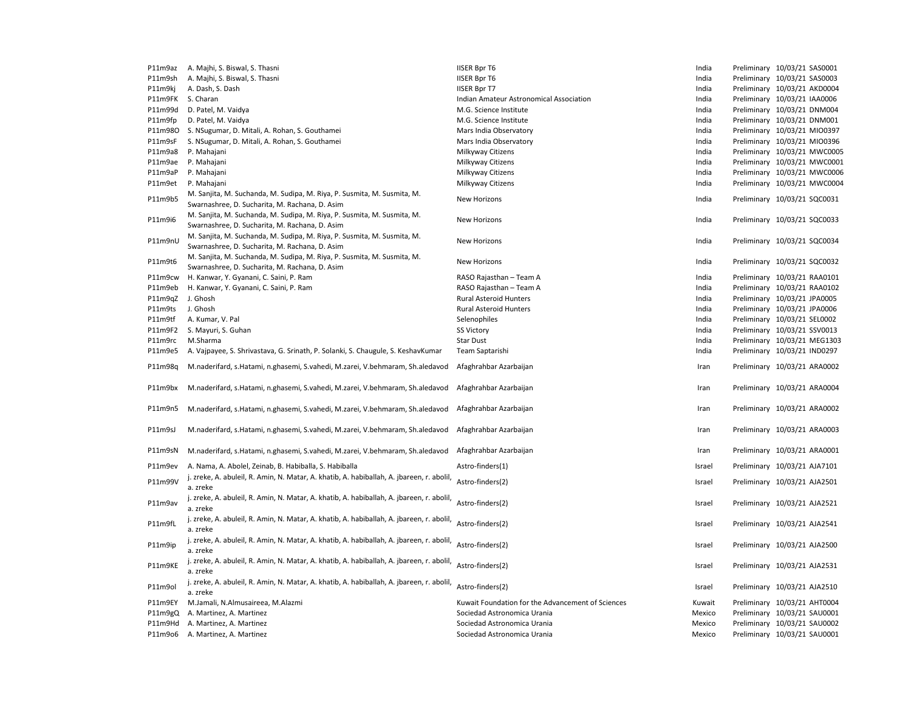| P11m9az | A. Majhi, S. Biswal, S. Thasni                                                                                            | <b>IISER Bpr T6</b>                               | India  | Preliminary 10/03/21 SAS0001 |
|---------|---------------------------------------------------------------------------------------------------------------------------|---------------------------------------------------|--------|------------------------------|
| P11m9sh | A. Majhi, S. Biswal, S. Thasni                                                                                            | <b>IISER Bpr T6</b>                               | India  | Preliminary 10/03/21 SAS0003 |
| P11m9kj | A. Dash, S. Dash                                                                                                          | <b>IISER Bpr T7</b>                               | India  | Preliminary 10/03/21 AKD0004 |
| P11m9FK | S. Charan                                                                                                                 | Indian Amateur Astronomical Association           | India  | Preliminary 10/03/21 IAA0006 |
| P11m99d | D. Patel, M. Vaidya                                                                                                       | M.G. Science Institute                            | India  | Preliminary 10/03/21 DNM004  |
| P11m9fp | D. Patel, M. Vaidya                                                                                                       | M.G. Science Institute                            | India  | Preliminary 10/03/21 DNM001  |
| P11m980 | S. NSugumar, D. Mitali, A. Rohan, S. Gouthamei                                                                            | Mars India Observatory                            | India  | Preliminary 10/03/21 MIO0397 |
| P11m9sF | S. NSugumar, D. Mitali, A. Rohan, S. Gouthamei                                                                            | Mars India Observatory                            | India  | Preliminary 10/03/21 MIO0396 |
|         |                                                                                                                           |                                                   |        |                              |
| P11m9a8 | P. Mahajani                                                                                                               | Milkyway Citizens                                 | India  | Preliminary 10/03/21 MWC0005 |
| P11m9ae | P. Mahajani                                                                                                               | Milkyway Citizens                                 | India  | Preliminary 10/03/21 MWC0001 |
| P11m9aP | P. Mahajani                                                                                                               | Milkyway Citizens                                 | India  | Preliminary 10/03/21 MWC0006 |
| P11m9et | P. Mahajani                                                                                                               | Milkyway Citizens                                 | India  | Preliminary 10/03/21 MWC0004 |
| P11m9b5 | M. Sanjita, M. Suchanda, M. Sudipa, M. Riya, P. Susmita, M. Susmita, M.<br>Swarnashree, D. Sucharita, M. Rachana, D. Asim | New Horizons                                      | India  | Preliminary 10/03/21 SQC0031 |
| P11m9i6 | M. Sanjita, M. Suchanda, M. Sudipa, M. Riya, P. Susmita, M. Susmita, M.<br>Swarnashree, D. Sucharita, M. Rachana, D. Asim | New Horizons                                      | India  | Preliminary 10/03/21 SQC0033 |
| P11m9nU | M. Sanjita, M. Suchanda, M. Sudipa, M. Riya, P. Susmita, M. Susmita, M.<br>Swarnashree, D. Sucharita, M. Rachana, D. Asim | New Horizons                                      | India  | Preliminary 10/03/21 SQC0034 |
|         | M. Sanjita, M. Suchanda, M. Sudipa, M. Riya, P. Susmita, M. Susmita, M.                                                   |                                                   |        |                              |
| P11m9t6 | Swarnashree, D. Sucharita, M. Rachana, D. Asim                                                                            | New Horizons                                      | India  | Preliminary 10/03/21 SQC0032 |
| P11m9cw | H. Kanwar, Y. Gyanani, C. Saini, P. Ram                                                                                   | RASO Rajasthan - Team A                           | India  | Preliminary 10/03/21 RAA0101 |
|         |                                                                                                                           |                                                   |        |                              |
| P11m9eb | H. Kanwar, Y. Gyanani, C. Saini, P. Ram                                                                                   | RASO Rajasthan - Team A                           | India  | Preliminary 10/03/21 RAA0102 |
| P11m9qZ | J. Ghosh                                                                                                                  | <b>Rural Asteroid Hunters</b>                     | India  | Preliminary 10/03/21 JPA0005 |
| P11m9ts | J. Ghosh                                                                                                                  | <b>Rural Asteroid Hunters</b>                     | India  | Preliminary 10/03/21 JPA0006 |
| P11m9tf | A. Kumar, V. Pal                                                                                                          | Selenophiles                                      | India  | Preliminary 10/03/21 SEL0002 |
| P11m9F2 | S. Mayuri, S. Guhan                                                                                                       | <b>SS Victory</b>                                 | India  | Preliminary 10/03/21 SSV0013 |
| P11m9rc | M.Sharma                                                                                                                  | Star Dust                                         | India  | Preliminary 10/03/21 MEG1303 |
| P11m9e5 | A. Vajpayee, S. Shrivastava, G. Srinath, P. Solanki, S. Chaugule, S. KeshavKumar                                          | Team Saptarishi                                   | India  | Preliminary 10/03/21 IND0297 |
| P11m98q | M.naderifard, s.Hatami, n.ghasemi, S.vahedi, M.zarei, V.behmaram, Sh.aledavod                                             | Afaghrahbar Azarbaijan                            | Iran   | Preliminary 10/03/21 ARA0002 |
| P11m9bx | M.naderifard, s.Hatami, n.ghasemi, S.vahedi, M.zarei, V.behmaram, Sh.aledavod                                             | Afaghrahbar Azarbaijan                            | Iran   | Preliminary 10/03/21 ARA0004 |
| P11m9n5 | M.naderifard, s.Hatami, n.ghasemi, S.vahedi, M.zarei, V.behmaram, Sh.aledavod                                             | Afaghrahbar Azarbaijan                            | Iran   | Preliminary 10/03/21 ARA0002 |
| P11m9sJ | M.naderifard, s.Hatami, n.ghasemi, S.vahedi, M.zarei, V.behmaram, Sh.aledavod                                             | Afaghrahbar Azarbaijan                            | Iran   | Preliminary 10/03/21 ARA0003 |
| P11m9sN | M.naderifard, s.Hatami, n.ghasemi, S.vahedi, M.zarei, V.behmaram, Sh.aledavod                                             | Afaghrahbar Azarbaijan                            | Iran   | Preliminary 10/03/21 ARA0001 |
| P11m9ev | A. Nama, A. Abolel, Zeinab, B. Habiballa, S. Habiballa                                                                    | Astro-finders(1)                                  | Israel | Preliminary 10/03/21 AJA7101 |
| P11m99V | j. zreke, A. abuleil, R. Amin, N. Matar, A. khatib, A. habiballah, A. jbareen, r. abolil,<br>a. zreke                     | Astro-finders(2)                                  | Israel | Preliminary 10/03/21 AJA2501 |
| P11m9av | j. zreke, A. abuleil, R. Amin, N. Matar, A. khatib, A. habiballah, A. jbareen, r. abolil,<br>a. zreke                     | Astro-finders(2)                                  | Israel | Preliminary 10/03/21 AJA2521 |
| P11m9fL | j. zreke, A. abuleil, R. Amin, N. Matar, A. khatib, A. habiballah, A. jbareen, r. abolil,                                 | Astro-finders(2)                                  | Israel | Preliminary 10/03/21 AJA2541 |
| P11m9ip | a. zreke<br>j. zreke, A. abuleil, R. Amin, N. Matar, A. khatib, A. habiballah, A. jbareen, r. abolil,<br>a. zreke         | Astro-finders(2)                                  | Israel | Preliminary 10/03/21 AJA2500 |
| P11m9KE | j. zreke, A. abuleil, R. Amin, N. Matar, A. khatib, A. habiballah, A. jbareen, r. abolil,<br>a. zreke                     | Astro-finders(2)                                  | Israel | Preliminary 10/03/21 AJA2531 |
| P11m9ol | j. zreke, A. abuleil, R. Amin, N. Matar, A. khatib, A. habiballah, A. jbareen, r. abolil,                                 | Astro-finders(2)                                  | Israel | Preliminary 10/03/21 AJA2510 |
|         | a. zreke                                                                                                                  |                                                   |        |                              |
| P11m9EY | M.Jamali, N.Almusaireea, M.Alazmi                                                                                         | Kuwait Foundation for the Advancement of Sciences | Kuwait | Preliminary 10/03/21 AHT0004 |
| P11m9gQ | A. Martinez, A. Martinez                                                                                                  | Sociedad Astronomica Urania                       | Mexico | Preliminary 10/03/21 SAU0001 |
| P11m9Hd | A. Martinez, A. Martinez                                                                                                  | Sociedad Astronomica Urania                       | Mexico | Preliminary 10/03/21 SAU0002 |
| P11m9o6 | A. Martinez, A. Martinez                                                                                                  | Sociedad Astronomica Urania                       | Mexico | Preliminary 10/03/21 SAU0001 |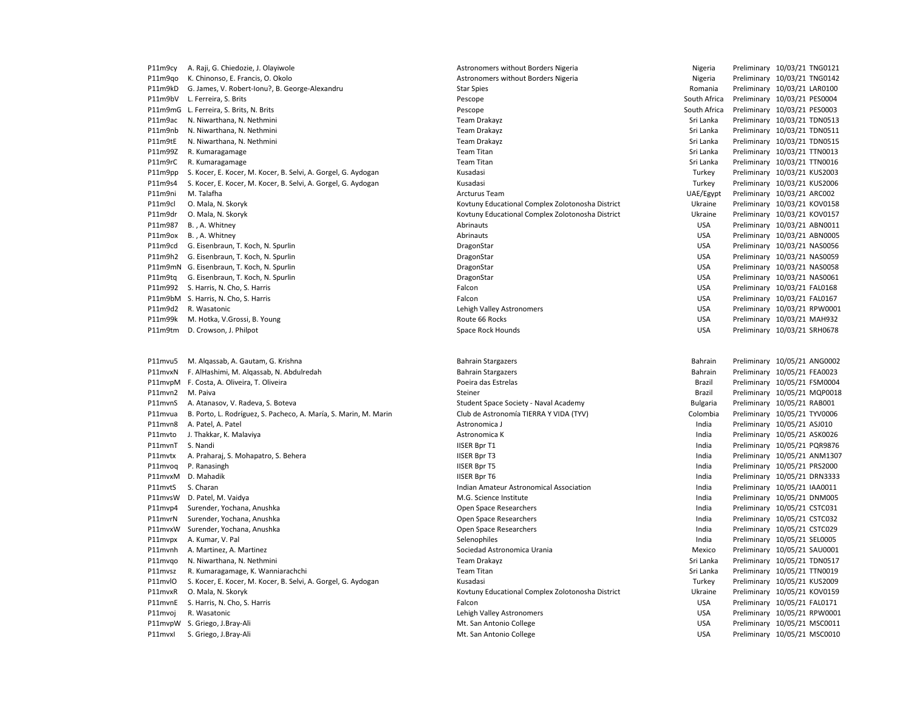| P11m9cy | A. Raji, G. Chiedozie, J. Olayiwole                              | Astronomers without Borders Nigeria              | Nigeria         | Preliminary 10/03/21 TNG0121 |
|---------|------------------------------------------------------------------|--------------------------------------------------|-----------------|------------------------------|
| P11m9qo | K. Chinonso, E. Francis, O. Okolo                                | Astronomers without Borders Nigeria              | Nigeria         | Preliminary 10/03/21 TNG0142 |
| P11m9kD | G. James, V. Robert-Ionu?, B. George-Alexandru                   | <b>Star Spies</b>                                | Romania         | Preliminary 10/03/21 LAR0100 |
|         | P11m9bV L. Ferreira, S. Brits                                    | Pescope                                          | South Africa    | Preliminary 10/03/21 PES0004 |
| P11m9mG | L. Ferreira, S. Brits, N. Brits                                  | Pescope                                          | South Africa    | Preliminary 10/03/21 PES0003 |
| P11m9ac | N. Niwarthana, N. Nethmini                                       | <b>Team Drakayz</b>                              | Sri Lanka       | Preliminary 10/03/21 TDN0513 |
| P11m9nb | N. Niwarthana, N. Nethmini                                       | <b>Team Drakayz</b>                              | Sri Lanka       | Preliminary 10/03/21 TDN0511 |
| P11m9tE | N. Niwarthana, N. Nethmini                                       | <b>Team Drakayz</b>                              | Sri Lanka       | Preliminary 10/03/21 TDN0515 |
| P11m99Z | R. Kumaragamage                                                  | <b>Team Titan</b>                                | Sri Lanka       | Preliminary 10/03/21 TTN0013 |
| P11m9rC | R. Kumaragamage                                                  | <b>Team Titan</b>                                | Sri Lanka       | Preliminary 10/03/21 TTN0016 |
| P11m9pp | S. Kocer, E. Kocer, M. Kocer, B. Selvi, A. Gorgel, G. Aydogan    | Kusadasi                                         | Turkey          | Preliminary 10/03/21 KUS2003 |
| P11m9s4 | S. Kocer, E. Kocer, M. Kocer, B. Selvi, A. Gorgel, G. Aydogan    | Kusadasi                                         | Turkey          | Preliminary 10/03/21 KUS2006 |
| P11m9ni | M. Talafha                                                       | Arcturus Team                                    | UAE/Egypt       | Preliminary 10/03/21 ARC002  |
| P11m9cl | O. Mala, N. Skoryk                                               | Kovtuny Educational Complex Zolotonosha District | Ukraine         | Preliminary 10/03/21 KOV0158 |
| P11m9dr | O. Mala, N. Skoryk                                               | Kovtuny Educational Complex Zolotonosha District | Ukraine         | Preliminary 10/03/21 KOV0157 |
| P11m987 | B., A. Whitney                                                   | Abrinauts                                        | <b>USA</b>      | Preliminary 10/03/21 ABN0011 |
| P11m9ox | B., A. Whitney                                                   | Abrinauts                                        | <b>USA</b>      | Preliminary 10/03/21 ABN0005 |
| P11m9cd | G. Eisenbraun, T. Koch, N. Spurlin                               | DragonStar                                       | <b>USA</b>      | Preliminary 10/03/21 NAS0056 |
| P11m9h2 | G. Eisenbraun, T. Koch, N. Spurlin                               | DragonStar                                       | <b>USA</b>      | Preliminary 10/03/21 NAS0059 |
|         | P11m9mN G. Eisenbraun, T. Koch, N. Spurlin                       | DragonStar                                       | <b>USA</b>      | Preliminary 10/03/21 NAS0058 |
| P11m9tq | G. Eisenbraun, T. Koch, N. Spurlin                               | DragonStar                                       | <b>USA</b>      | Preliminary 10/03/21 NAS0061 |
| P11m992 | S. Harris, N. Cho, S. Harris                                     | Falcon                                           | <b>USA</b>      | Preliminary 10/03/21 FAL0168 |
|         | P11m9bM S. Harris, N. Cho, S. Harris                             | Falcon                                           | <b>USA</b>      | Preliminary 10/03/21 FAL0167 |
| P11m9d2 | R. Wasatonic                                                     | Lehigh Valley Astronomers                        | <b>USA</b>      | Preliminary 10/03/21 RPW0001 |
| P11m99k | M. Hotka, V.Grossi, B. Young                                     | Route 66 Rocks                                   | <b>USA</b>      | Preliminary 10/03/21 MAH932  |
| P11m9tm | D. Crowson, J. Philpot                                           | Space Rock Hounds                                | <b>USA</b>      | Preliminary 10/03/21 SRH0678 |
|         |                                                                  |                                                  |                 |                              |
|         |                                                                  |                                                  |                 |                              |
| P11mvu5 | M. Algassab, A. Gautam, G. Krishna                               | <b>Bahrain Stargazers</b>                        | Bahrain         | Preliminary 10/05/21 ANG0002 |
| P11mvxN | F. AlHashimi, M. Algassab, N. Abdulredah                         | <b>Bahrain Stargazers</b>                        | Bahrain         | Preliminary 10/05/21 FEA0023 |
|         | P11mvpM F. Costa, A. Oliveira, T. Oliveira                       | Poeira das Estrelas                              | Brazil          | Preliminary 10/05/21 FSM0004 |
| P11mvn2 | M. Paiva                                                         | Steiner                                          | Brazil          | Preliminary 10/05/21 MQP0018 |
| P11mvnS | A. Atanasov, V. Radeva, S. Boteva                                | Student Space Society - Naval Academy            | <b>Bulgaria</b> | Preliminary 10/05/21 RAB001  |
| P11mvua | B. Porto, L. Rodríguez, S. Pacheco, A. María, S. Marin, M. Marin | Club de Astronomía TIERRA Y VIDA (TYV)           | Colombia        | Preliminary 10/05/21 TYV0006 |
| P11mvn8 | A. Patel, A. Patel                                               | Astronomica J                                    | India           | Preliminary 10/05/21 ASJ010  |
| P11mvto | J. Thakkar, K. Malaviya                                          | Astronomica K                                    | India           | Preliminary 10/05/21 ASK0026 |
| P11mvnT | S. Nandi                                                         | <b>IISER Bpr T1</b>                              | India           | Preliminary 10/05/21 PQR9876 |
| P11mvtx | A. Praharaj, S. Mohapatro, S. Behera                             | <b>IISER Bpr T3</b>                              | India           | Preliminary 10/05/21 ANM1307 |
| P11mvog | P. Ranasingh                                                     | <b>IISER Bpr T5</b>                              | India           | Preliminary 10/05/21 PRS2000 |
| P11mvxM | D. Mahadik                                                       | <b>IISER Bpr T6</b>                              | India           | Preliminary 10/05/21 DRN3333 |
| P11mvtS | S. Charan                                                        | Indian Amateur Astronomical Association          | India           | Preliminary 10/05/21 IAA0011 |
| P11mvsW | D. Patel, M. Vaidya                                              | M.G. Science Institute                           | India           | Preliminary 10/05/21 DNM005  |
| P11mvp4 | Surender, Yochana, Anushka                                       | Open Space Researchers                           | India           | Preliminary 10/05/21 CSTC031 |
| P11mvrN | Surender, Yochana, Anushka                                       | Open Space Researchers                           | India           | Preliminary 10/05/21 CSTC032 |
| P11mvxW | Surender, Yochana, Anushka                                       | Open Space Researchers                           | India           | Preliminary 10/05/21 CSTC029 |
| P11mvpx | A. Kumar, V. Pal                                                 | Selenophiles                                     | India           | Preliminary 10/05/21 SEL0005 |
| P11mvnh | A. Martinez, A. Martinez                                         | Sociedad Astronomica Urania                      | Mexico          | Preliminary 10/05/21 SAU0001 |
| P11mvqo | N. Niwarthana, N. Nethmini                                       | <b>Team Drakayz</b>                              | Sri Lanka       | Preliminary 10/05/21 TDN0517 |
| P11mvsz | R. Kumaragamage, K. Wanniarachchi                                | <b>Team Titan</b>                                | Sri Lanka       | Preliminary 10/05/21 TTN0019 |
| P11mvlO | S. Kocer, E. Kocer, M. Kocer, B. Selvi, A. Gorgel, G. Aydogan    | Kusadasi                                         | Turkey          | Preliminary 10/05/21 KUS2009 |
| P11mvxR | O. Mala, N. Skoryk                                               | Kovtuny Educational Complex Zolotonosha District | Ukraine         | Preliminary 10/05/21 KOV0159 |
| P11mvnE | S. Harris, N. Cho, S. Harris                                     | Falcon                                           | <b>USA</b>      | Preliminary 10/05/21 FAL0171 |
| P11mvoj | R. Wasatonic                                                     | Lehigh Valley Astronomers                        | <b>USA</b>      | Preliminary 10/05/21 RPW0001 |
|         | P11mvpW S. Griego, J.Bray-Ali                                    | Mt. San Antonio College                          | <b>USA</b>      | Preliminary 10/05/21 MSC0011 |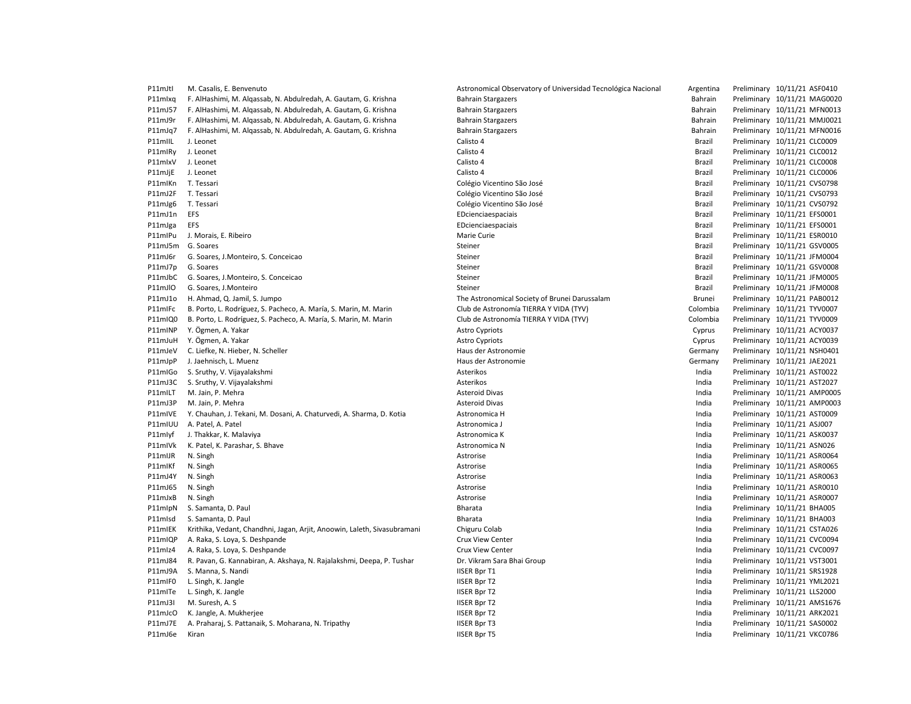| P11mJtl            | M. Casalis, E. Benvenuto                                                 | Astronomical Observatory of Universidad Tecnológica Nacional | Argentina     | Preliminary 10/11/21 ASF0410 |
|--------------------|--------------------------------------------------------------------------|--------------------------------------------------------------|---------------|------------------------------|
| P11mlxg            | F. AlHashimi, M. Alqassab, N. Abdulredah, A. Gautam, G. Krishna          | <b>Bahrain Stargazers</b>                                    | Bahrain       | Preliminary 10/11/21 MAG002  |
| P11mJ57            | F. AlHashimi, M. Algassab, N. Abdulredah, A. Gautam, G. Krishna          | <b>Bahrain Stargazers</b>                                    | Bahrain       | Preliminary 10/11/21 MFN0013 |
| P11mJ9r            | F. AlHashimi, M. Algassab, N. Abdulredah, A. Gautam, G. Krishna          | <b>Bahrain Stargazers</b>                                    | Bahrain       | Preliminary 10/11/21 MMJ002  |
| P11mJq7            | F. AlHashimi, M. Algassab, N. Abdulredah, A. Gautam, G. Krishna          | <b>Bahrain Stargazers</b>                                    | Bahrain       | Preliminary 10/11/21 MFN0016 |
| P11mIIL            | J. Leonet                                                                | Calisto 4                                                    | Brazil        | Preliminary 10/11/21 CLC0009 |
| P11mlRy            | J. Leonet                                                                | Calisto 4                                                    | Brazil        | Preliminary 10/11/21 CLC0012 |
| P11mlxV            | J. Leonet                                                                | Calisto 4                                                    | Brazil        | Preliminary 10/11/21 CLC0008 |
| P11mJjE            | J. Leonet                                                                | Calisto 4                                                    | Brazil        | Preliminary 10/11/21 CLC0006 |
| P11mlKn            | T. Tessari                                                               | Colégio Vicentino São José                                   | Brazil        | Preliminary 10/11/21 CVS0798 |
| P11mJ2F            | T. Tessari                                                               | Colégio Vicentino São José                                   | Brazil        | Preliminary 10/11/21 CVS0793 |
| P11mJg6            | T. Tessari                                                               | Colégio Vicentino São José                                   | Brazil        | Preliminary 10/11/21 CVS0792 |
| P11mJ1n            | <b>EFS</b>                                                               | EDcienciaespaciais                                           | <b>Brazil</b> | Preliminary 10/11/21 EFS0001 |
| P11mJga            | <b>EFS</b>                                                               | EDcienciaespaciais                                           | Brazil        | Preliminary 10/11/21 EFS0001 |
| P11mIPu            | J. Morais, E. Ribeiro                                                    | Marie Curie                                                  | Brazil        | Preliminary 10/11/21 ESR0010 |
| P11mJ5m            | G. Soares                                                                | Steiner                                                      | Brazil        | Preliminary 10/11/21 GSV0005 |
| P11mJ6r            | G. Soares, J. Monteiro, S. Conceicao                                     | Steiner                                                      | Brazil        | Preliminary 10/11/21 JFM0004 |
| P11mJ7p            | G. Soares                                                                | Steiner                                                      | Brazil        | Preliminary 10/11/21 GSV0008 |
| P11mJbC            | G. Soares, J.Monteiro, S. Conceicao                                      | Steiner                                                      | Brazil        | Preliminary 10/11/21 JFM0005 |
| P11mJlO            | G. Soares, J.Monteiro                                                    | Steiner                                                      | Brazil        | Preliminary 10/11/21 JFM0008 |
| P11mJ1o            | H. Ahmad, Q. Jamil, S. Jumpo                                             | The Astronomical Society of Brunei Darussalam                | Brunei        | Preliminary 10/11/21 PAB0012 |
| P11mlFc            | B. Porto, L. Rodríguez, S. Pacheco, A. María, S. Marin, M. Marin         | Club de Astronomía TIERRA Y VIDA (TYV)                       | Colombia      | Preliminary 10/11/21 TYV0007 |
| P11mIQ0            | B. Porto, L. Rodríguez, S. Pacheco, A. María, S. Marin, M. Marin         | Club de Astronomía TIERRA Y VIDA (TYV)                       | Colombia      | Preliminary 10/11/21 TYV0009 |
| P11mINP            | Y. Ögmen, A. Yakar                                                       | <b>Astro Cypriots</b>                                        | Cyprus        | Preliminary 10/11/21 ACY0037 |
| P11mJuH            | Y. Ögmen, A. Yakar                                                       | <b>Astro Cypriots</b>                                        | Cyprus        | Preliminary 10/11/21 ACY0039 |
| P11mJeV            | C. Liefke, N. Hieber, N. Scheller                                        | Haus der Astronomie                                          | Germany       | Preliminary 10/11/21 NSH0401 |
| P11mJpP            | J. Jaehnisch, L. Muenz                                                   | Haus der Astronomie                                          | Germany       | Preliminary 10/11/21 JAE2021 |
| P11mIGo            | S. Sruthy, V. Vijayalakshmi                                              | Asterikos                                                    | India         | Preliminary 10/11/21 AST0022 |
| P11mJ3C            | S. Sruthy, V. Vijayalakshmi                                              | Asterikos                                                    | India         | Preliminary 10/11/21 AST2027 |
| P11mILT            | M. Jain, P. Mehra                                                        | <b>Asteroid Divas</b>                                        | India         | Preliminary 10/11/21 AMP000! |
| P11mJ3P            | M. Jain, P. Mehra                                                        | <b>Asteroid Divas</b>                                        | India         | Preliminary 10/11/21 AMP0003 |
| P11mIVE            | Y. Chauhan, J. Tekani, M. Dosani, A. Chaturvedi, A. Sharma, D. Kotia     | Astronomica H                                                | India         | Preliminary 10/11/21 AST0009 |
| P11mIUU            | A. Patel, A. Patel                                                       | Astronomica J                                                | India         | Preliminary 10/11/21 ASJ007  |
| P11mlyf            | J. Thakkar, K. Malaviya                                                  | Astronomica K                                                | India         | Preliminary 10/11/21 ASK0037 |
| P11mIVk            | K. Patel, K. Parashar, S. Bhave                                          | Astronomica N                                                | India         | Preliminary 10/11/21 ASN026  |
|                    |                                                                          |                                                              | India         | Preliminary 10/11/21 ASR0064 |
| P11mIJR<br>P11mlKf | N. Singh<br>N. Singh                                                     | Astrorise<br>Astrorise                                       | India         | Preliminary 10/11/21 ASR0065 |
| P11mJ4Y            |                                                                          | Astrorise                                                    | India         | Preliminary 10/11/21 ASR0063 |
|                    | N. Singh                                                                 |                                                              |               |                              |
| P11mJ65            | N. Singh                                                                 | Astrorise                                                    | India         | Preliminary 10/11/21 ASR0010 |
| P11mJxB            | N. Singh                                                                 | Astrorise                                                    | India         | Preliminary 10/11/21 ASR0007 |
| P11mlpN            | S. Samanta, D. Paul                                                      | Bharata                                                      | India         | Preliminary 10/11/21 BHA005  |
| P11mlsd            | S. Samanta, D. Paul                                                      | Bharata                                                      | India         | Preliminary 10/11/21 BHA003  |
| P11mIEK            | Krithika, Vedant, Chandhni, Jagan, Arjit, Anoowin, Laleth, Sivasubramani | Chiguru Colab                                                | India         | Preliminary 10/11/21 CSTA026 |
| P11mIQP            | A. Raka, S. Loya, S. Deshpande                                           | Crux View Center                                             | India         | Preliminary 10/11/21 CVC0094 |
| P11mlz4            | A. Raka, S. Loya, S. Deshpande                                           | Crux View Center                                             | India         | Preliminary 10/11/21 CVC0097 |
| P11mJ84            | R. Pavan, G. Kannabiran, A. Akshaya, N. Rajalakshmi, Deepa, P. Tushar    | Dr. Vikram Sara Bhai Group                                   | India         | Preliminary 10/11/21 VST3001 |
| P11mJ9A            | S. Manna, S. Nandi                                                       | <b>IISER Bpr T1</b>                                          | India         | Preliminary 10/11/21 SRS1928 |
| P11mIF0            | L. Singh, K. Jangle                                                      | <b>IISER Bpr T2</b>                                          | India         | Preliminary 10/11/21 YML2021 |
| P11mITe            | L. Singh, K. Jangle                                                      | <b>IISER Bpr T2</b>                                          | India         | Preliminary 10/11/21 LLS2000 |
| P11mJ3I            | M. Suresh, A. S                                                          | <b>IISER Bpr T2</b>                                          | India         | Preliminary 10/11/21 AMS1676 |
| P11mJcO            | K. Jangle, A. Mukherjee                                                  | <b>IISER Bpr T2</b>                                          | India         | Preliminary 10/11/21 ARK2021 |
| P11mJ7E            | A. Praharaj, S. Pattanaik, S. Moharana, N. Tripathy                      | <b>IISER Bpr T3</b>                                          | India         | Preliminary 10/11/21 SAS0002 |
| P11mJ6e            | Kiran                                                                    | <b>IISER Bpr T5</b>                                          | India         | Preliminary 10/11/21 VKC0786 |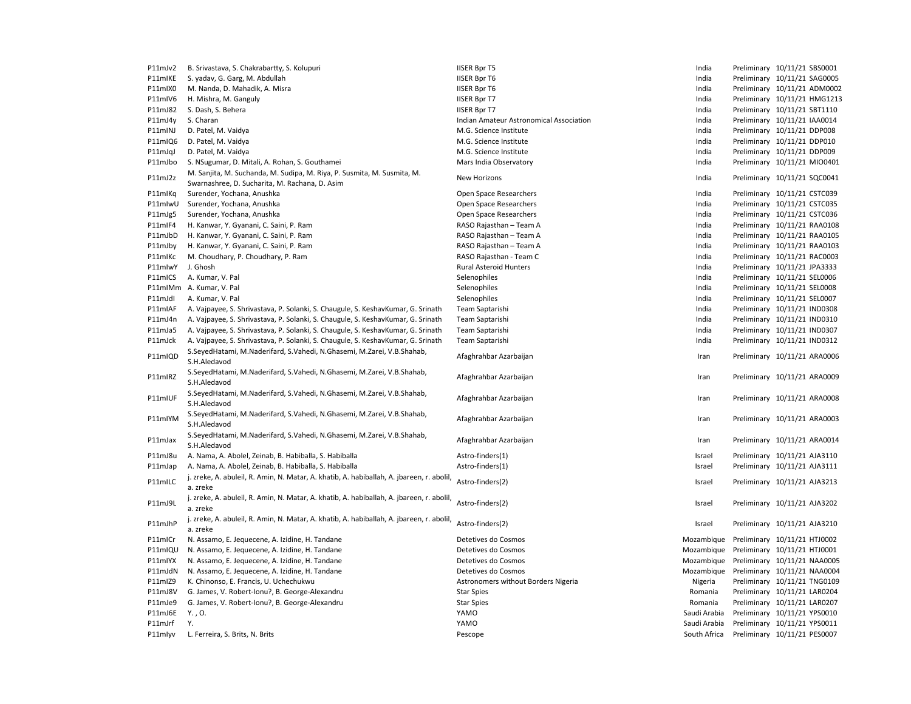| P11mJv2 | B. Srivastava, S. Chakrabartty, S. Kolupuri                                               | <b>IISER Bpr T5</b>                     | India        | Preliminary 10/11/21 SBS0001 |
|---------|-------------------------------------------------------------------------------------------|-----------------------------------------|--------------|------------------------------|
| P11mIKE | S. yadav, G. Garg, M. Abdullah                                                            | <b>IISER Bpr T6</b>                     | India        | Preliminary 10/11/21 SAG0005 |
| P11mIX0 | M. Nanda, D. Mahadik, A. Misra                                                            | <b>IISER Bpr T6</b>                     | India        | Preliminary 10/11/21 ADM0002 |
| P11mIV6 | H. Mishra, M. Ganguly                                                                     | <b>IISER Bpr T7</b>                     | India        | Preliminary 10/11/21 HMG1213 |
| P11mJ82 | S. Dash, S. Behera                                                                        | <b>IISER Bpr T7</b>                     | India        | Preliminary 10/11/21 SBT1110 |
| P11mJ4y | S. Charan                                                                                 | Indian Amateur Astronomical Association | India        | Preliminary 10/11/21 IAA0014 |
| P11mINJ | D. Patel, M. Vaidya                                                                       | M.G. Science Institute                  | India        | Preliminary 10/11/21 DDP008  |
| P11mIQ6 | D. Patel, M. Vaidya                                                                       | M.G. Science Institute                  | India        | Preliminary 10/11/21 DDP010  |
| P11mJqJ | D. Patel, M. Vaidya                                                                       | M.G. Science Institute                  | India        | Preliminary 10/11/21 DDP009  |
| P11mJbo | S. NSugumar, D. Mitali, A. Rohan, S. Gouthamei                                            | Mars India Observatory                  | India        | Preliminary 10/11/21 MIO0401 |
|         | M. Sanjita, M. Suchanda, M. Sudipa, M. Riya, P. Susmita, M. Susmita, M.                   | New Horizons                            |              |                              |
| P11mJ2z | Swarnashree, D. Sucharita, M. Rachana, D. Asim                                            |                                         | India        | Preliminary 10/11/21 SQC0041 |
| P11mlKq | Surender, Yochana, Anushka                                                                | Open Space Researchers                  | India        | Preliminary 10/11/21 CSTC039 |
| P11mlwU | Surender, Yochana, Anushka                                                                | Open Space Researchers                  | India        | Preliminary 10/11/21 CSTC035 |
| P11mJg5 | Surender, Yochana, Anushka                                                                | Open Space Researchers                  | India        | Preliminary 10/11/21 CSTC036 |
| P11mIF4 | H. Kanwar, Y. Gyanani, C. Saini, P. Ram                                                   | RASO Rajasthan - Team A                 | India        | Preliminary 10/11/21 RAA0108 |
| P11mJbD | H. Kanwar, Y. Gyanani, C. Saini, P. Ram                                                   | RASO Rajasthan - Team A                 | India        | Preliminary 10/11/21 RAA0105 |
| P11mJby | H. Kanwar, Y. Gyanani, C. Saini, P. Ram                                                   | RASO Rajasthan - Team A                 | India        | Preliminary 10/11/21 RAA0103 |
| P11mlKc | M. Choudhary, P. Choudhary, P. Ram                                                        | RASO Rajasthan - Team C                 | India        | Preliminary 10/11/21 RAC0003 |
| P11mlwY | J. Ghosh                                                                                  | <b>Rural Asteroid Hunters</b>           | India        | Preliminary 10/11/21 JPA3333 |
| P11mICS | A. Kumar, V. Pal                                                                          | Selenophiles                            | India        | Preliminary 10/11/21 SEL0006 |
|         | P11mIMm A. Kumar, V. Pal                                                                  | Selenophiles                            | India        | Preliminary 10/11/21 SEL0008 |
| P11mJdl | A. Kumar, V. Pal                                                                          | Selenophiles                            | India        | Preliminary 10/11/21 SEL0007 |
| P11mIAF | A. Vajpayee, S. Shrivastava, P. Solanki, S. Chaugule, S. KeshavKumar, G. Srinath          | Team Saptarishi                         | India        | Preliminary 10/11/21 IND0308 |
| P11mJ4n | A. Vajpayee, S. Shrivastava, P. Solanki, S. Chaugule, S. KeshavKumar, G. Srinath          | Team Saptarishi                         | India        | Preliminary 10/11/21 IND0310 |
| P11mJa5 | A. Vajpayee, S. Shrivastava, P. Solanki, S. Chaugule, S. KeshavKumar, G. Srinath          | Team Saptarishi                         | India        | Preliminary 10/11/21 IND0307 |
| P11mJck | A. Vajpayee, S. Shrivastava, P. Solanki, S. Chaugule, S. KeshavKumar, G. Srinath          | Team Saptarishi                         | India        | Preliminary 10/11/21 IND0312 |
|         | S.SeyedHatami, M.Naderifard, S.Vahedi, N.Ghasemi, M.Zarei, V.B.Shahab,                    |                                         |              |                              |
| P11mIQD | S.H.Aledavod                                                                              | Afaghrahbar Azarbaijan                  | Iran         | Preliminary 10/11/21 ARA0006 |
|         | S. Seyed Hatami, M. Naderifard, S. Vahedi, N. Ghasemi, M. Zarei, V. B. Shahab,            |                                         |              |                              |
| P11mIRZ | S.H.Aledavod                                                                              | Afaghrahbar Azarbaijan                  | Iran         | Preliminary 10/11/21 ARA0009 |
|         |                                                                                           |                                         |              |                              |
| P11mIUF | S.SeyedHatami, M.Naderifard, S.Vahedi, N.Ghasemi, M.Zarei, V.B.Shahab,                    | Afaghrahbar Azarbaijan                  | Iran         | Preliminary 10/11/21 ARA0008 |
|         | S.H.Aledavod                                                                              |                                         |              |                              |
| P11mIYM | S.SeyedHatami, M.Naderifard, S.Vahedi, N.Ghasemi, M.Zarei, V.B.Shahab,                    | Afaghrahbar Azarbaijan                  | Iran         | Preliminary 10/11/21 ARA0003 |
|         | S.H.Aledavod                                                                              |                                         |              |                              |
| P11mJax | S. Seyed Hatami, M. Naderifard, S. Vahedi, N. Ghasemi, M. Zarei, V. B. Shahab,            | Afaghrahbar Azarbaijan                  | Iran         | Preliminary 10/11/21 ARA0014 |
|         | S.H.Aledavod                                                                              |                                         |              |                              |
| P11mJ8u | A. Nama, A. Abolel, Zeinab, B. Habiballa, S. Habiballa                                    | Astro-finders(1)                        | Israel       | Preliminary 10/11/21 AJA3110 |
| P11mJap | A. Nama, A. Abolel, Zeinab, B. Habiballa, S. Habiballa                                    | Astro-finders(1)                        | Israel       | Preliminary 10/11/21 AJA3111 |
| P11mILC | j. zreke, A. abuleil, R. Amin, N. Matar, A. khatib, A. habiballah, A. jbareen, r. abolil, | Astro-finders(2)                        | Israel       | Preliminary 10/11/21 AJA3213 |
|         | a. zreke                                                                                  |                                         |              |                              |
| P11mJ9L | j. zreke, A. abuleil, R. Amin, N. Matar, A. khatib, A. habiballah, A. jbareen, r. abolil, | Astro-finders(2)                        | Israel       | Preliminary 10/11/21 AJA3202 |
|         | a. zreke                                                                                  |                                         |              |                              |
| P11mJhP | j. zreke, A. abuleil, R. Amin, N. Matar, A. khatib, A. habiballah, A. jbareen, r. abolil, | Astro-finders(2)                        | Israel       | Preliminary 10/11/21 AJA3210 |
|         | a. zreke                                                                                  |                                         |              |                              |
| P11mICr | N. Assamo, E. Jequecene, A. Izidine, H. Tandane                                           | Detetives do Cosmos                     | Mozambique   | Preliminary 10/11/21 HTJ0002 |
| P11mIQU | N. Assamo, E. Jequecene, A. Izidine, H. Tandane                                           | Detetives do Cosmos                     | Mozambique   | Preliminary 10/11/21 HTJ0001 |
| P11mlYX | N. Assamo, E. Jequecene, A. Izidine, H. Tandane                                           | Detetives do Cosmos                     | Mozambique   | Preliminary 10/11/21 NAA0005 |
| P11mJdN | N. Assamo, E. Jequecene, A. Izidine, H. Tandane                                           | Detetives do Cosmos                     | Mozambique   | Preliminary 10/11/21 NAA0004 |
| P11mIZ9 | K. Chinonso, E. Francis, U. Uchechukwu                                                    | Astronomers without Borders Nigeria     | Nigeria      | Preliminary 10/11/21 TNG0109 |
| P11mJ8V | G. James, V. Robert-Ionu?, B. George-Alexandru                                            | <b>Star Spies</b>                       | Romania      | Preliminary 10/11/21 LAR0204 |
| P11mJe9 | G. James, V. Robert-Ionu?, B. George-Alexandru                                            | <b>Star Spies</b>                       | Romania      | Preliminary 10/11/21 LAR0207 |
| P11mJ6E | Y., O.                                                                                    | YAMO                                    | Saudi Arabia | Preliminary 10/11/21 YPS0010 |
| P11mJrf | Υ.                                                                                        | YAMO                                    | Saudi Arabia | Preliminary 10/11/21 YPS0011 |
| P11mlyv | L. Ferreira, S. Brits, N. Brits                                                           | Pescope                                 | South Africa | Preliminary 10/11/21 PES0007 |